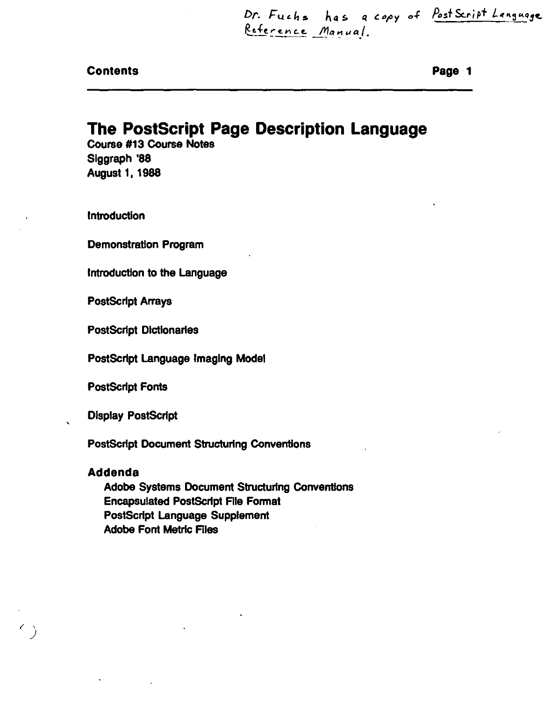Dr. Fuchs has a copy of PostScript Language Reference Manual.

|  |  | <b>Contents</b> |
|--|--|-----------------|
|--|--|-----------------|

Page 1

## **The PostScript Page Description Language**

**Course #13 Course Notes** Siggraph '88 **August 1, 1988** 

**Introduction** 

**Demonstration Program** 

Introduction to the Language

**PostScript Arrays** 

**PostScript Dictionaries** 

PostScript Language Imaging Model

**PostScript Fonts** 

**Display PostScript** 

**PostScript Document Structuring Conventions** 

## **Addenda**

Adobe Systems Document Structuring Conventions **Encapsulated PostScript File Format PostScript Language Supplement Adobe Font Metric Files**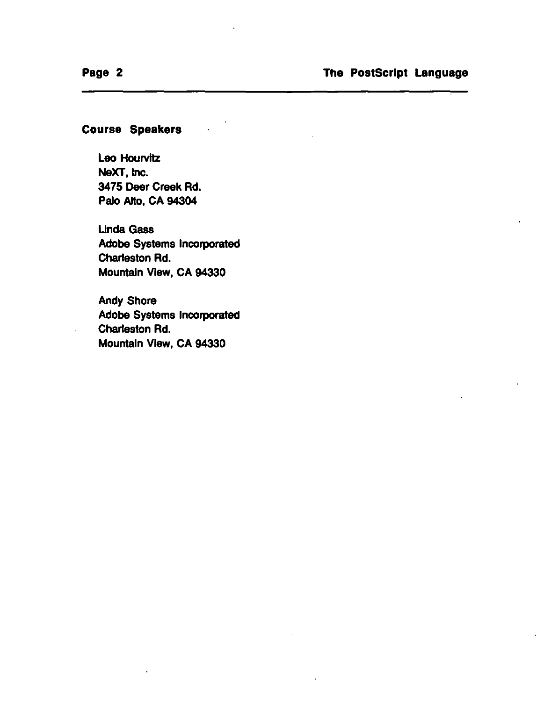## Course Speakers

Leo Hourvitz NeXT, Inc. 3475 Deer Creek Rd. Palo AHo, CA 94304

Unda Gass Adobe Systems Incorporated Charleston Rd. Mountain VIew, CA 94330

Andy Shore Adobe Systems Incorporated Charleston Rd. Mountain VIew, CA 94330